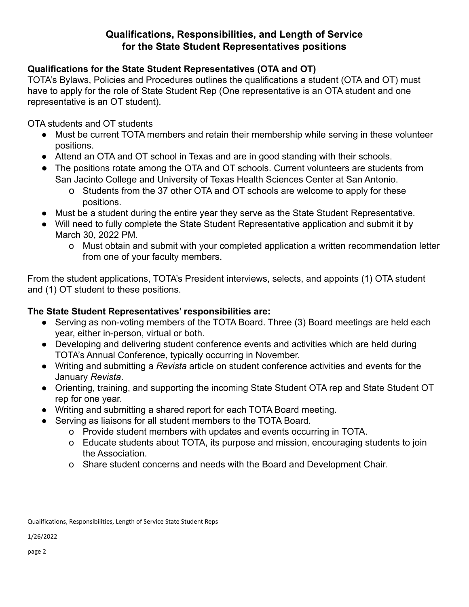# **Qualifications, Responsibilities, and Length of Service for the State Student Representatives positions**

## **Qualifications for the State Student Representatives (OTA and OT)**

TOTA's Bylaws, Policies and Procedures outlines the qualifications a student (OTA and OT) must have to apply for the role of State Student Rep (One representative is an OTA student and one representative is an OT student).

OTA students and OT students

- Must be current TOTA members and retain their membership while serving in these volunteer positions.
- Attend an OTA and OT school in Texas and are in good standing with their schools.
- The positions rotate among the OTA and OT schools. Current volunteers are students from San Jacinto College and University of Texas Health Sciences Center at San Antonio.
	- o Students from the 37 other OTA and OT schools are welcome to apply for these positions.
- Must be a student during the entire year they serve as the State Student Representative.
- Will need to fully complete the State Student Representative application and submit it by March 30, 2022 PM.
	- o Must obtain and submit with your completed application a written recommendation letter from one of your faculty members.

From the student applications, TOTA's President interviews, selects, and appoints (1) OTA student and (1) OT student to these positions.

### **The State Student Representatives' responsibilities are:**

- Serving as non-voting members of the TOTA Board. Three (3) Board meetings are held each year, either in-person, virtual or both.
- Developing and delivering student conference events and activities which are held during TOTA's Annual Conference, typically occurring in November.
- Writing and submitting a *Revista* article on student conference activities and events for the January *Revista*.
- Orienting, training, and supporting the incoming State Student OTA rep and State Student OT rep for one year.
- Writing and submitting a shared report for each TOTA Board meeting.
- Serving as liaisons for all student members to the TOTA Board.
	- o Provide student members with updates and events occurring in TOTA.
	- o Educate students about TOTA, its purpose and mission, encouraging students to join the Association.
	- o Share student concerns and needs with the Board and Development Chair.

Qualifications, Responsibilities, Length of Service State Student Reps

1/26/2022

page 2